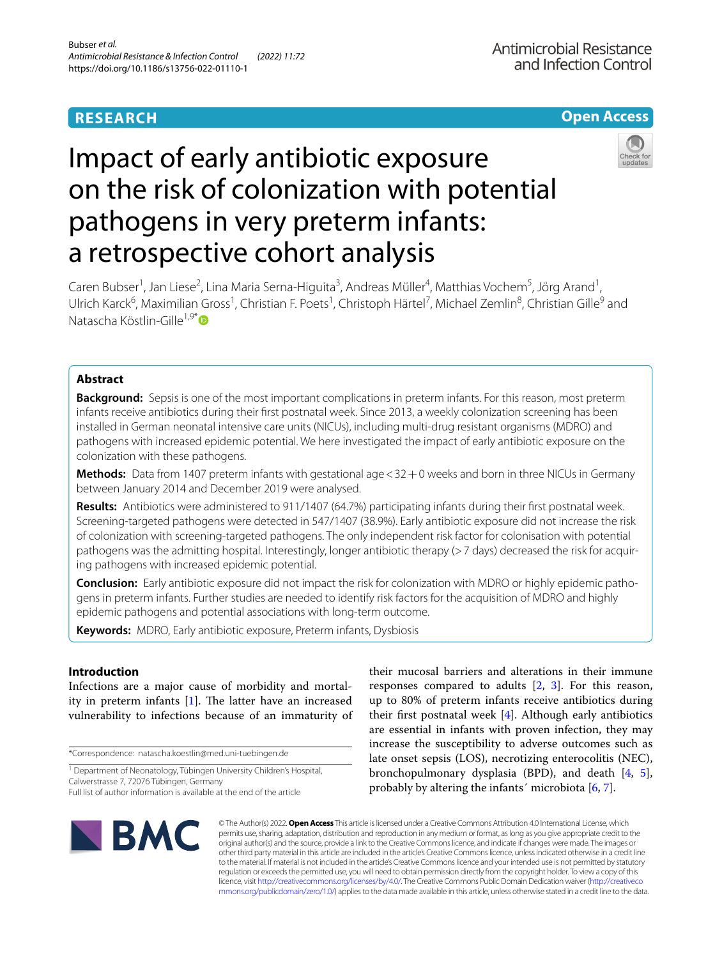## **RESEARCH**

**Open Access**

# Impact of early antibiotic exposure on the risk of colonization with potential pathogens in very preterm infants: a retrospective cohort analysis



Caren Bubser<sup>1</sup>, Jan Liese<sup>2</sup>, Lina Maria Serna-Higuita<sup>3</sup>, Andreas Müller<sup>4</sup>, Matthias Vochem<sup>5</sup>, Jörg Arand<sup>1</sup>, Ulrich Karck<sup>6</sup>, Maximilian Gross<sup>1</sup>, Christian F. Poets<sup>1</sup>, Christoph Härtel<sup>7</sup>, Michael Zemlin<sup>8</sup>, Christian Gille<sup>9</sup> and Natascha Köstlin-Gille<sup>1,9\*</sup> D

## **Abstract**

**Background:** Sepsis is one of the most important complications in preterm infants. For this reason, most preterm infants receive antibiotics during their frst postnatal week. Since 2013, a weekly colonization screening has been installed in German neonatal intensive care units (NICUs), including multi-drug resistant organisms (MDRO) and pathogens with increased epidemic potential. We here investigated the impact of early antibiotic exposure on the colonization with these pathogens.

**Methods:** Data from 1407 preterm infants with gestational age < 32 + 0 weeks and born in three NICUs in Germany between January 2014 and December 2019 were analysed.

**Results:** Antibiotics were administered to 911/1407 (64.7%) participating infants during their frst postnatal week. Screening-targeted pathogens were detected in 547/1407 (38.9%). Early antibiotic exposure did not increase the risk of colonization with screening-targeted pathogens. The only independent risk factor for colonisation with potential pathogens was the admitting hospital. Interestingly, longer antibiotic therapy (>7 days) decreased the risk for acquiring pathogens with increased epidemic potential.

**Conclusion:** Early antibiotic exposure did not impact the risk for colonization with MDRO or highly epidemic pathogens in preterm infants. Further studies are needed to identify risk factors for the acquisition of MDRO and highly epidemic pathogens and potential associations with long-term outcome.

**Keywords:** MDRO, Early antibiotic exposure, Preterm infants, Dysbiosis

## **Introduction**

Infections are a major cause of morbidity and mortality in preterm infants  $[1]$  $[1]$  $[1]$ . The latter have an increased vulnerability to infections because of an immaturity of

\*Correspondence: natascha.koestlin@med.uni-tuebingen.de

Full list of author information is available at the end of the article

their mucosal barriers and alterations in their immune responses compared to adults [\[2](#page-7-1), [3\]](#page-7-2). For this reason, up to 80% of preterm infants receive antibiotics during their frst postnatal week [\[4](#page-7-3)]. Although early antibiotics are essential in infants with proven infection, they may increase the susceptibility to adverse outcomes such as late onset sepsis (LOS), necrotizing enterocolitis (NEC), bronchopulmonary dysplasia (BPD), and death [[4,](#page-7-3) [5](#page-7-4)], probably by altering the infants' microbiota  $[6, 7]$  $[6, 7]$  $[6, 7]$ .



© The Author(s) 2022. **Open Access** This article is licensed under a Creative Commons Attribution 4.0 International License, which permits use, sharing, adaptation, distribution and reproduction in any medium or format, as long as you give appropriate credit to the original author(s) and the source, provide a link to the Creative Commons licence, and indicate if changes were made. The images or other third party material in this article are included in the article's Creative Commons licence, unless indicated otherwise in a credit line to the material. If material is not included in the article's Creative Commons licence and your intended use is not permitted by statutory regulation or exceeds the permitted use, you will need to obtain permission directly from the copyright holder. To view a copy of this licence, visit [http://creativecommons.org/licenses/by/4.0/.](http://creativecommons.org/licenses/by/4.0/) The Creative Commons Public Domain Dedication waiver ([http://creativeco](http://creativecommons.org/publicdomain/zero/1.0/) [mmons.org/publicdomain/zero/1.0/](http://creativecommons.org/publicdomain/zero/1.0/)) applies to the data made available in this article, unless otherwise stated in a credit line to the data.

<sup>&</sup>lt;sup>1</sup> Department of Neonatology, Tübingen University Children's Hospital, Calwerstrasse 7, 72076 Tübingen, Germany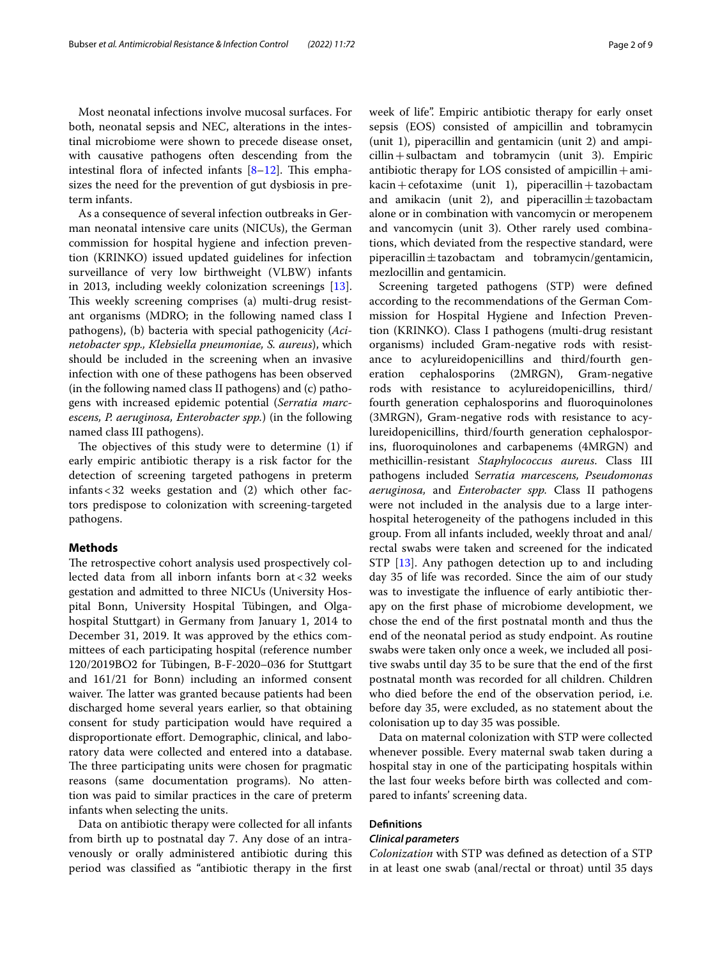Most neonatal infections involve mucosal surfaces. For both, neonatal sepsis and NEC, alterations in the intestinal microbiome were shown to precede disease onset, with causative pathogens often descending from the intestinal flora of infected infants  $[8-12]$  $[8-12]$  $[8-12]$ . This emphasizes the need for the prevention of gut dysbiosis in preterm infants.

As a consequence of several infection outbreaks in German neonatal intensive care units (NICUs), the German commission for hospital hygiene and infection prevention (KRINKO) issued updated guidelines for infection surveillance of very low birthweight (VLBW) infants in 2013, including weekly colonization screenings [\[13](#page-8-1)]. This weekly screening comprises (a) multi-drug resistant organisms (MDRO; in the following named class I pathogens), (b) bacteria with special pathogenicity (*Acinetobacter spp., Klebsiella pneumoniae, S. aureus*), which should be included in the screening when an invasive infection with one of these pathogens has been observed (in the following named class II pathogens) and (c) pathogens with increased epidemic potential (*Serratia marcescens, P. aeruginosa, Enterobacter spp.*) (in the following named class III pathogens).

The objectives of this study were to determine  $(1)$  if early empiric antibiotic therapy is a risk factor for the detection of screening targeted pathogens in preterm infants<32 weeks gestation and (2) which other factors predispose to colonization with screening-targeted pathogens.

## **Methods**

The retrospective cohort analysis used prospectively collected data from all inborn infants born at<32 weeks gestation and admitted to three NICUs (University Hospital Bonn, University Hospital Tübingen, and Olgahospital Stuttgart) in Germany from January 1, 2014 to December 31, 2019. It was approved by the ethics committees of each participating hospital (reference number 120/2019BO2 for Tübingen, B-F-2020–036 for Stuttgart and 161/21 for Bonn) including an informed consent waiver. The latter was granted because patients had been discharged home several years earlier, so that obtaining consent for study participation would have required a disproportionate effort. Demographic, clinical, and laboratory data were collected and entered into a database. The three participating units were chosen for pragmatic reasons (same documentation programs). No attention was paid to similar practices in the care of preterm infants when selecting the units.

Data on antibiotic therapy were collected for all infants from birth up to postnatal day 7. Any dose of an intravenously or orally administered antibiotic during this period was classifed as "antibiotic therapy in the frst week of life". Empiric antibiotic therapy for early onset sepsis (EOS) consisted of ampicillin and tobramycin (unit 1), piperacillin and gentamicin (unit 2) and ampi $cillin + sulbactam$  and tobramycin (unit 3). Empiric antibiotic therapy for LOS consisted of ampicillin+ami $kacin + cefotaxime$  (unit 1), piperacillin + tazobactam and amikacin (unit 2), and piperacillin $\pm$ tazobactam alone or in combination with vancomycin or meropenem and vancomycin (unit 3). Other rarely used combinations, which deviated from the respective standard, were piperacillin $\pm$ tazobactam and tobramycin/gentamicin, mezlocillin and gentamicin.

Screening targeted pathogens (STP) were defned according to the recommendations of the German Commission for Hospital Hygiene and Infection Prevention (KRINKO). Class I pathogens (multi-drug resistant organisms) included Gram-negative rods with resistance to acylureidopenicillins and third/fourth generation cephalosporins (2MRGN), Gram-negative rods with resistance to acylureidopenicillins, third/ fourth generation cephalosporins and fuoroquinolones (3MRGN), Gram-negative rods with resistance to acylureidopenicillins, third/fourth generation cephalosporins, fuoroquinolones and carbapenems (4MRGN) and methicillin-resistant *Staphylococcus aureus*. Class III pathogens included S*erratia marcescens, Pseudomonas aeruginosa,* and *Enterobacter spp.* Class II pathogens were not included in the analysis due to a large interhospital heterogeneity of the pathogens included in this group. From all infants included, weekly throat and anal/ rectal swabs were taken and screened for the indicated STP [\[13\]](#page-8-1). Any pathogen detection up to and including day 35 of life was recorded. Since the aim of our study was to investigate the infuence of early antibiotic therapy on the frst phase of microbiome development, we chose the end of the frst postnatal month and thus the end of the neonatal period as study endpoint. As routine swabs were taken only once a week, we included all positive swabs until day 35 to be sure that the end of the frst postnatal month was recorded for all children. Children who died before the end of the observation period, i.e. before day 35, were excluded, as no statement about the colonisation up to day 35 was possible.

Data on maternal colonization with STP were collected whenever possible. Every maternal swab taken during a hospital stay in one of the participating hospitals within the last four weeks before birth was collected and compared to infants' screening data.

## **Defnitions**

#### *Clinical parameters*

*Colonization* with STP was defned as detection of a STP in at least one swab (anal/rectal or throat) until 35 days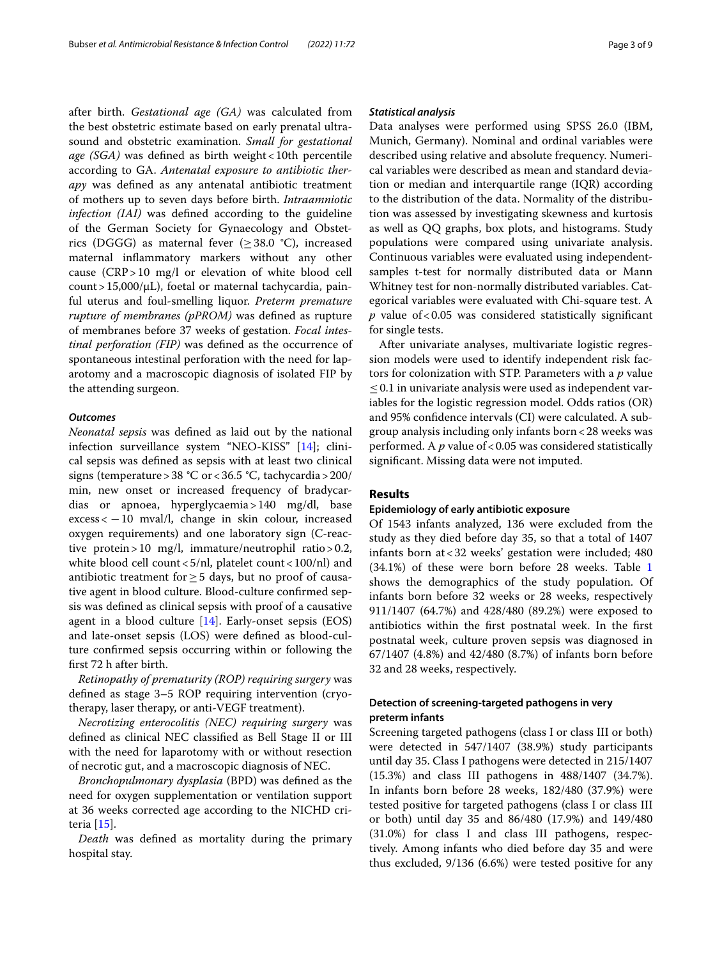after birth. *Gestational age (GA)* was calculated from the best obstetric estimate based on early prenatal ultrasound and obstetric examination. *Small for gestational age (SGA)* was defined as birth weight <10th percentile according to GA. *Antenatal exposure to antibiotic therapy* was defned as any antenatal antibiotic treatment of mothers up to seven days before birth. *Intraamniotic infection (IAI)* was defned according to the guideline of the German Society for Gynaecology and Obstetrics (DGGG) as maternal fever ( $\geq$ 38.0 °C), increased maternal infammatory markers without any other cause (CRP>10 mg/l or elevation of white blood cell count>15,000/μL), foetal or maternal tachycardia, painful uterus and foul-smelling liquor. *Preterm premature rupture of membranes (pPROM)* was defned as rupture of membranes before 37 weeks of gestation. *Focal intestinal perforation (FIP)* was defned as the occurrence of spontaneous intestinal perforation with the need for laparotomy and a macroscopic diagnosis of isolated FIP by the attending surgeon.

## *Outcomes*

*Neonatal sepsis* was defned as laid out by the national infection surveillance system "NEO-KISS" [\[14](#page-8-2)]; clinical sepsis was defned as sepsis with at least two clinical signs (temperature>38 °C or<36.5 °C, tachycardia>200/ min, new onset or increased frequency of bradycardias or apnoea, hyperglycaemia>140 mg/dl, base  $excess < -10$  mval/l, change in skin colour, increased oxygen requirements) and one laboratory sign (C-reactive protein>10 mg/l, immature/neutrophil ratio>0.2, white blood cell count  $<5/nl$ , platelet count  $<100/nl$ ) and antibiotic treatment for  $\geq$  5 days, but no proof of causative agent in blood culture. Blood-culture confrmed sepsis was defned as clinical sepsis with proof of a causative agent in a blood culture [[14](#page-8-2)]. Early-onset sepsis (EOS) and late-onset sepsis (LOS) were defned as blood-culture confrmed sepsis occurring within or following the frst 72 h after birth.

*Retinopathy of prematurity (ROP) requiring surgery* was defned as stage 3–5 ROP requiring intervention (cryotherapy, laser therapy, or anti-VEGF treatment).

*Necrotizing enterocolitis (NEC) requiring surgery* was defned as clinical NEC classifed as Bell Stage II or III with the need for laparotomy with or without resection of necrotic gut, and a macroscopic diagnosis of NEC.

*Bronchopulmonary dysplasia* (BPD) was defned as the need for oxygen supplementation or ventilation support at 36 weeks corrected age according to the NICHD criteria [[15\]](#page-8-3).

*Death* was defned as mortality during the primary hospital stay.

#### *Statistical analysis*

Data analyses were performed using SPSS 26.0 (IBM, Munich, Germany). Nominal and ordinal variables were described using relative and absolute frequency. Numerical variables were described as mean and standard deviation or median and interquartile range (IQR) according to the distribution of the data. Normality of the distribution was assessed by investigating skewness and kurtosis as well as QQ graphs, box plots, and histograms. Study populations were compared using univariate analysis. Continuous variables were evaluated using independentsamples t-test for normally distributed data or Mann Whitney test for non-normally distributed variables. Categorical variables were evaluated with Chi-square test. A  $p$  value of <0.05 was considered statistically significant for single tests.

After univariate analyses, multivariate logistic regression models were used to identify independent risk factors for colonization with STP. Parameters with a *p* value  $\leq$  0.1 in univariate analysis were used as independent variables for the logistic regression model. Odds ratios (OR) and 95% confdence intervals (CI) were calculated. A subgroup analysis including only infants born<28 weeks was performed. A *p* value of<0.05 was considered statistically signifcant. Missing data were not imputed.

## **Results**

#### **Epidemiology of early antibiotic exposure**

Of 1543 infants analyzed, 136 were excluded from the study as they died before day 35, so that a total of 1407 infants born at<32 weeks' gestation were included; 480 (34.1%) of these were born before 28 weeks. Table [1](#page-3-0) shows the demographics of the study population. Of infants born before 32 weeks or 28 weeks, respectively 911/1407 (64.7%) and 428/480 (89.2%) were exposed to antibiotics within the frst postnatal week. In the frst postnatal week, culture proven sepsis was diagnosed in 67/1407 (4.8%) and 42/480 (8.7%) of infants born before 32 and 28 weeks, respectively.

## **Detection of screening‑targeted pathogens in very preterm infants**

Screening targeted pathogens (class I or class III or both) were detected in 547/1407 (38.9%) study participants until day 35. Class I pathogens were detected in 215/1407 (15.3%) and class III pathogens in 488/1407 (34.7%). In infants born before 28 weeks, 182/480 (37.9%) were tested positive for targeted pathogens (class I or class III or both) until day 35 and 86/480 (17.9%) and 149/480 (31.0%) for class I and class III pathogens, respectively. Among infants who died before day 35 and were thus excluded, 9/136 (6.6%) were tested positive for any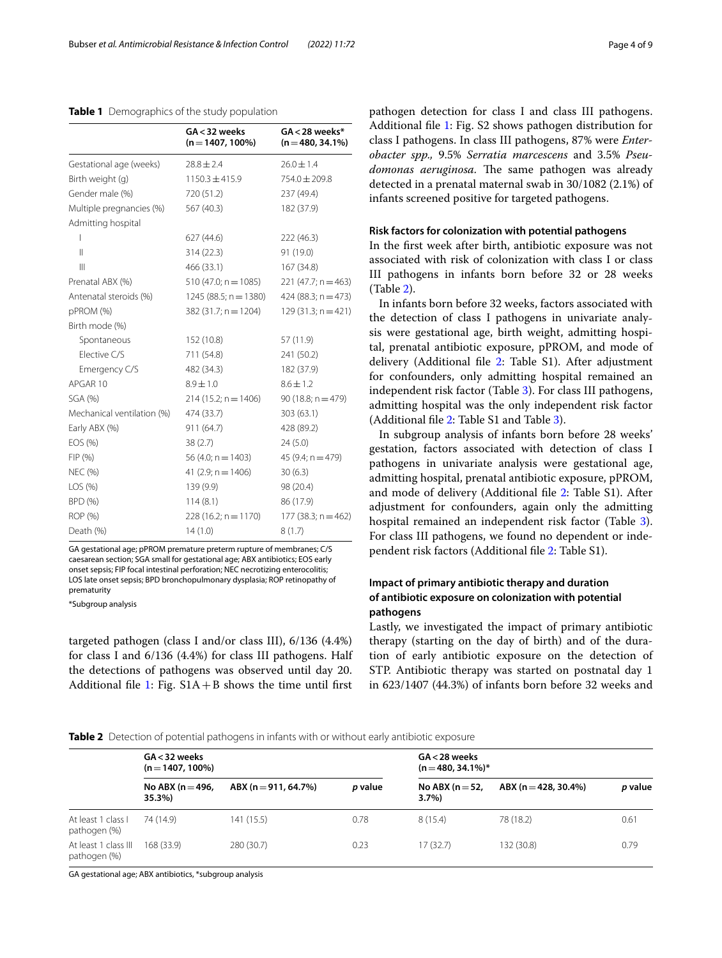<span id="page-3-0"></span>**Table 1** Demographics of the study population

|                            | $GA < 32$ weeks<br>$(n = 1407, 100\%)$ | $GA < 28$ weeks*<br>$(n=480, 34.1\%)$ |
|----------------------------|----------------------------------------|---------------------------------------|
| Gestational age (weeks)    | $28.8 \pm 2.4$                         | $26.0 \pm 1.4$                        |
| Birth weight (g)           | $1150.3 \pm 415.9$                     | 754.0 ± 209.8                         |
| Gender male (%)            | 720 (51.2)                             | 237 (49.4)                            |
| Multiple pregnancies (%)   | 567 (40.3)                             | 182 (37.9)                            |
| Admitting hospital         |                                        |                                       |
| I                          | 627 (44.6)                             | 222 (46.3)                            |
| $\mathsf{II}$              | 314 (22.3)                             | 91 (19.0)                             |
| $\mathbf{III}$             | 466 (33.1)                             | 167 (34.8)                            |
| Prenatal ABX (%)           | $510(47.0; n = 1085)$                  | $221$ (47.7; n = 463)                 |
| Antenatal steroids (%)     | $1245(88.5; n = 1380)$                 | $424 (88.3; n = 473)$                 |
| pPROM (%)                  | $382(31.7; n = 1204)$                  | $129(31.3; n = 421)$                  |
| Birth mode (%)             |                                        |                                       |
| Spontaneous                | 152 (10.8)                             | 57 (11.9)                             |
| Elective C/S               | 711 (54.8)                             | 241 (50.2)                            |
| Emergency C/S              | 482 (34.3)                             | 182 (37.9)                            |
| APGAR 10                   | $8.9 \pm 1.0$                          | $8.6 \pm 1.2$                         |
| SGA (%)                    | $214(15.2; n = 1406)$                  | $90(18.8; n = 479)$                   |
| Mechanical ventilation (%) | 474 (33.7)                             | 303 (63.1)                            |
| Early ABX (%)              | 911 (64.7)                             | 428 (89.2)                            |
| EOS (%)                    | 38(2.7)                                | 24(5.0)                               |
| FIP(%)                     | $56(4.0; n = 1403)$                    | 45 $(9.4; n = 479)$                   |
| <b>NEC (%)</b>             | 41 $(2.9; n = 1406)$                   | 30(6.3)                               |
| LOS (%)                    | 139 (9.9)                              | 98 (20.4)                             |
| <b>BPD (%)</b>             | 114(8.1)                               | 86 (17.9)                             |
| ROP (%)                    | $228(16.2; n = 1170)$                  | 177 (38.3; $n = 462$ )                |
| Death (%)                  | 14(1.0)                                | 8(1.7)                                |

GA gestational age; pPROM premature preterm rupture of membranes; C/S caesarean section; SGA small for gestational age; ABX antibiotics; EOS early onset sepsis; FIP focal intestinal perforation; NEC necrotizing enterocolitis; LOS late onset sepsis; BPD bronchopulmonary dysplasia; ROP retinopathy of prematurity

\*Subgroup analysis

targeted pathogen (class I and/or class III), 6/136 (4.4%) for class I and 6/136 (4.4%) for class III pathogens. Half the detections of pathogens was observed until day 20. Additional file [1](#page-7-8): Fig.  $S1A + B$  shows the time until first pathogen detection for class I and class III pathogens. Additional fle [1](#page-7-8): Fig. S2 shows pathogen distribution for class I pathogens. In class III pathogens, 87% were *Enterobacter spp.,* 9.5% *Serratia marcescens* and 3.5% *Pseu*domonas aeruginosa. The same pathogen was already detected in a prenatal maternal swab in 30/1082 (2.1%) of infants screened positive for targeted pathogens.

## **Risk factors for colonization with potential pathogens**

In the frst week after birth, antibiotic exposure was not associated with risk of colonization with class I or class III pathogens in infants born before 32 or 28 weeks (Table [2\)](#page-3-1).

In infants born before 32 weeks, factors associated with the detection of class I pathogens in univariate analysis were gestational age, birth weight, admitting hospital, prenatal antibiotic exposure, pPROM, and mode of delivery (Additional file [2](#page-7-9): Table S1). After adjustment for confounders, only admitting hospital remained an independent risk factor (Table [3\)](#page-4-0). For class III pathogens, admitting hospital was the only independent risk factor (Additional fle [2](#page-7-9): Table S1 and Table [3\)](#page-4-0).

In subgroup analysis of infants born before 28 weeks' gestation, factors associated with detection of class I pathogens in univariate analysis were gestational age, admitting hospital, prenatal antibiotic exposure, pPROM, and mode of delivery (Additional fle [2](#page-7-9): Table S1). After adjustment for confounders, again only the admitting hospital remained an independent risk factor (Table [3](#page-4-0)). For class III pathogens, we found no dependent or independent risk factors (Additional fle [2:](#page-7-9) Table S1).

## **Impact of primary antibiotic therapy and duration of antibiotic exposure on colonization with potential pathogens**

Lastly, we investigated the impact of primary antibiotic therapy (starting on the day of birth) and of the duration of early antibiotic exposure on the detection of STP. Antibiotic therapy was started on postnatal day 1 in 623/1407 (44.3%) of infants born before 32 weeks and

<span id="page-3-1"></span>**Table 2** Detection of potential pathogens in infants with or without early antibiotic exposure

|                                      | $GA < 32$ weeks<br>$(n=1407, 100\%)$ |                        |         | GA < 28 weeks<br>$(n = 480, 34.1\%)*$ |                      |         |  |
|--------------------------------------|--------------------------------------|------------------------|---------|---------------------------------------|----------------------|---------|--|
|                                      | No ABX ( $n = 496$ ,<br>35.3%)       | $ABX (n = 911, 64.7%)$ | p value | No ABX ( $n = 52$ ,<br>$3.7\%$        | ABX (n = 428, 30.4%) | p value |  |
| At least 1 class I<br>pathogen (%)   | 74 (14.9)                            | 141 (15.5)             | 0.78    | 8(15.4)                               | 78 (18.2)            | 0.61    |  |
| At least 1 class III<br>pathogen (%) | 168(33.9)                            | 280 (30.7)             | 0.23    | 17(32.7)                              | 132 (30.8)           | 0.79    |  |

GA gestational age; ABX antibiotics, \*subgroup analysis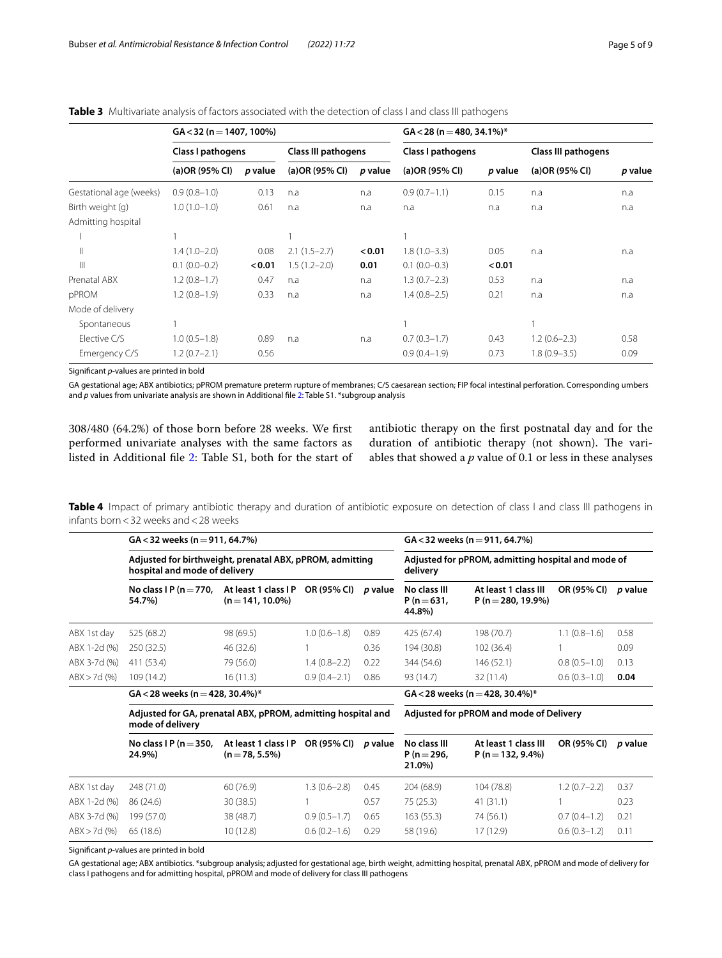|                         | $GA < 32$ (n = 1407, 100%) |         |                            |         | $GA < 28 (n = 480, 34.1\%)*$ |         |                     |         |
|-------------------------|----------------------------|---------|----------------------------|---------|------------------------------|---------|---------------------|---------|
|                         | Class I pathogens          |         | <b>Class III pathogens</b> |         | Class I pathogens            |         | Class III pathogens |         |
|                         | (a)OR (95% CI)             | p value | (a) OR (95% CI)            | p value | (a) OR (95% CI)              | p value | (a) OR (95% CI)     | p value |
| Gestational age (weeks) | $0.9(0.8-1.0)$             | 0.13    | n.a                        | n.a     | $0.9(0.7-1.1)$               | 0.15    | n.a                 | n.a     |
| Birth weight (g)        | $1.0(1.0-1.0)$             | 0.61    | n.a                        | n.a     | n.a                          | n.a     | n.a                 | n.a     |
| Admitting hospital      |                            |         |                            |         |                              |         |                     |         |
|                         |                            |         |                            |         |                              |         |                     |         |
| Ш                       | $1.4(1.0-2.0)$             | 0.08    | $2.1(1.5-2.7)$             | < 0.01  | $1.8(1.0 - 3.3)$             | 0.05    | n.a                 | n.a     |
| $\parallel$             | $0.1(0.0-0.2)$             | < 0.01  | $1.5(1.2 - 2.0)$           | 0.01    | $0.1(0.0-0.3)$               | < 0.01  |                     |         |
| Prenatal ABX            | $1.2(0.8-1.7)$             | 0.47    | n.a                        | n.a     | $1.3(0.7-2.3)$               | 0.53    | n.a                 | n.a     |
| pPROM                   | $1.2(0.8-1.9)$             | 0.33    | n.a                        | n.a     | $1.4(0.8-2.5)$               | 0.21    | n.a                 | n.a     |
| Mode of delivery        |                            |         |                            |         |                              |         |                     |         |
| Spontaneous             |                            |         |                            |         |                              |         |                     |         |
| Elective C/S            | $1.0(0.5-1.8)$             | 0.89    | n.a                        | n.a     | $0.7(0.3-1.7)$               | 0.43    | $1.2(0.6-2.3)$      | 0.58    |
| Emergency C/S           | $1.2(0.7-2.1)$             | 0.56    |                            |         | $0.9(0.4-1.9)$               | 0.73    | $1.8(0.9 - 3.5)$    | 0.09    |

<span id="page-4-0"></span>**Table 3** Multivariate analysis of factors associated with the detection of class I and class III pathogens

Signifcant *p*-values are printed in bold

GA gestational age; ABX antibiotics; pPROM premature preterm rupture of membranes; C/S caesarean section; FIP focal intestinal perforation. Corresponding umbers and *p* values from univariate analysis are shown in Additional file [2](#page-7-9): Table S1. \*subgroup analysis

308/480 (64.2%) of those born before 28 weeks. We frst performed univariate analyses with the same factors as listed in Additional fle [2:](#page-7-9) Table S1, both for the start of antibiotic therapy on the frst postnatal day and for the duration of antibiotic therapy (not shown). The variables that showed a *p* value of 0.1 or less in these analyses

<span id="page-4-1"></span>Table 4 Impact of primary antibiotic therapy and duration of antibiotic exposure on detection of class I and class III pathogens in infants born<32 weeks and<28 weeks

|              | $GA < 32$ weeks (n = 911, 64.7%)<br>Adjusted for birthweight, prenatal ABX, pPROM, admitting<br>hospital and mode of delivery |                                           |                  |                | $GA < 32$ weeks (n = 911, 64.7%)                               |                                            |                |                |  |
|--------------|-------------------------------------------------------------------------------------------------------------------------------|-------------------------------------------|------------------|----------------|----------------------------------------------------------------|--------------------------------------------|----------------|----------------|--|
|              |                                                                                                                               |                                           |                  |                | Adjusted for pPROM, admitting hospital and mode of<br>delivery |                                            |                |                |  |
|              | No class $IP(n=770.$<br>54.7%)                                                                                                | At least 1 class IP<br>$(n = 141.10.0\%)$ | OR (95% CI)      | <i>p</i> value | No class III<br>$P(n=631.$<br>44.8%)                           | At least 1 class III<br>P (n = 280, 19.9%) | OR (95% CI)    | <i>p</i> value |  |
| ABX 1st day  | 525 (68.2)                                                                                                                    | 98 (69.5)                                 | $1.0(0.6 - 1.8)$ | 0.89           | 425 (67.4)                                                     | 198 (70.7)                                 | $1.1(0.8-1.6)$ | 0.58           |  |
| ABX 1-2d (%) | 250(32.5)                                                                                                                     | 46 (32.6)                                 |                  | 0.36           | 194 (30.8)                                                     | 102 (36.4)                                 |                | 0.09           |  |
| ABX 3-7d (%) | 411 (53.4)                                                                                                                    | 79 (56.0)                                 | $1.4(0.8-2.2)$   | 0.22           | 344 (54.6)                                                     | 146 (52.1)                                 | $0.8(0.5-1.0)$ | 0.13           |  |
| ABX > 7d(96) | 109 (14.2)                                                                                                                    | 16(11.3)                                  | $0.9(0.4 - 2.1)$ | 0.86           | 93(14.7)                                                       | 32(11.4)                                   | $0.6(0.3-1.0)$ | 0.04           |  |
|              | $GA < 28$ weeks (n = 428, 30.4%)*                                                                                             |                                           |                  |                | $GA < 28$ weeks (n = 428, 30.4%)*                              |                                            |                |                |  |

**Adjusted for GA, prenatal ABX, pPROM, admitting hospital and mode of delivery**

**Adjusted for pPROM and mode of Delivery**

| No class I P ( $n = 350$ ,<br>24.9%) | $(n=78, 5.5\%)$ |                  | <i>p</i> value                   | No class III<br>$P(n=296.$<br>21.0%) | At least 1 class III<br>$P(n=132, 9.4\%)$ | OR (95% CI)    | <i>p</i> value |
|--------------------------------------|-----------------|------------------|----------------------------------|--------------------------------------|-------------------------------------------|----------------|----------------|
| 248 (71.0)                           | 60(76.9)        | $1.3(0.6 - 2.8)$ | 0.45                             | 204 (68.9)                           | 104 (78.8)                                | $1.2(0.7-2.2)$ | 0.37           |
| 86 (24.6)                            | 30(38.5)        |                  | 0.57                             | 75(25.3)                             | 41(31.1)                                  |                | 0.23           |
| 199 (57.0)                           | 38 (48.7)       | $0.9(0.5-1.7)$   | 0.65                             | 163(55.3)                            | 74 (56.1)                                 | $0.7(0.4-1.2)$ | 0.21           |
| 65(18.6)                             | 10 (12.8)       | $0.6(0.2-1.6)$   | 0.29                             | 58 (19.6)                            | 17 (12.9)                                 | $0.6(0.3-1.2)$ | 0.11           |
|                                      |                 |                  | At least 1 class I P OR (95% CI) |                                      |                                           |                |                |

Signifcant *p*-values are printed in bold

GA gestational age; ABX antibiotics. \*subgroup analysis; adjusted for gestational age, birth weight, admitting hospital, prenatal ABX, pPROM and mode of delivery for class I pathogens and for admitting hospital, pPROM and mode of delivery for class III pathogens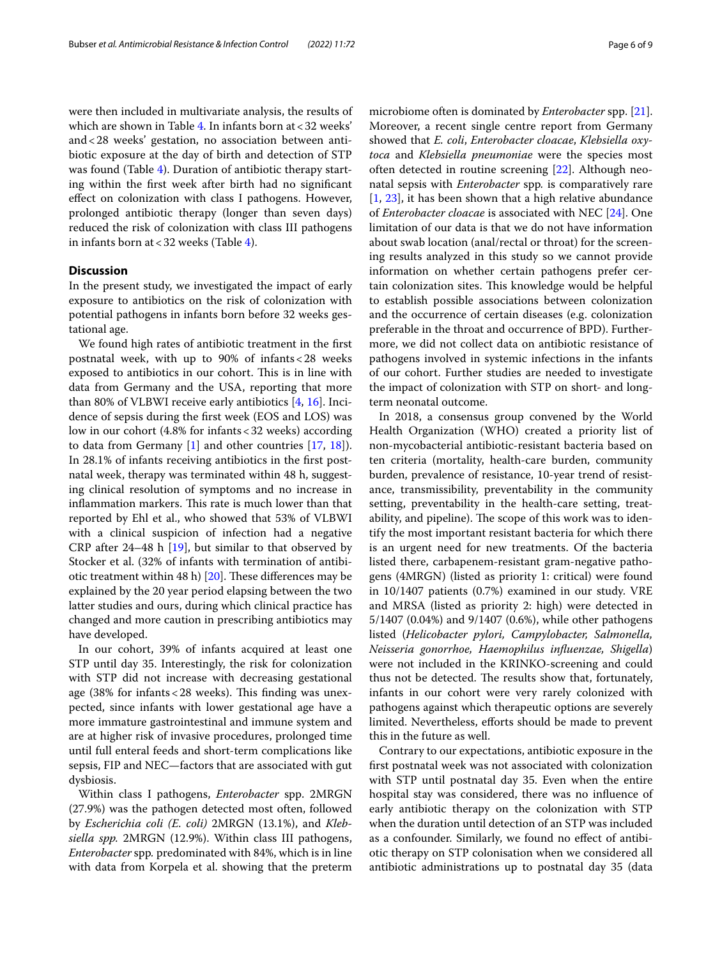were then included in multivariate analysis, the results of which are shown in Table [4.](#page-4-1) In infants born at  $<$  32 weeks' and<28 weeks' gestation, no association between antibiotic exposure at the day of birth and detection of STP was found (Table [4\)](#page-4-1). Duration of antibiotic therapy starting within the frst week after birth had no signifcant efect on colonization with class I pathogens. However, prolonged antibiotic therapy (longer than seven days) reduced the risk of colonization with class III pathogens in infants born at<32 weeks (Table [4\)](#page-4-1).

## **Discussion**

In the present study, we investigated the impact of early exposure to antibiotics on the risk of colonization with potential pathogens in infants born before 32 weeks gestational age.

We found high rates of antibiotic treatment in the frst postnatal week, with up to 90% of infants<28 weeks exposed to antibiotics in our cohort. This is in line with data from Germany and the USA, reporting that more than 80% of VLBWI receive early antibiotics [[4,](#page-7-3) [16](#page-8-4)]. Incidence of sepsis during the frst week (EOS and LOS) was low in our cohort (4.8% for infants<32 weeks) according to data from Germany [\[1\]](#page-7-0) and other countries [[17,](#page-8-5) [18\]](#page-8-6)). In 28.1% of infants receiving antibiotics in the frst postnatal week, therapy was terminated within 48 h, suggesting clinical resolution of symptoms and no increase in inflammation markers. This rate is much lower than that reported by Ehl et al., who showed that 53% of VLBWI with a clinical suspicion of infection had a negative CRP after 24–48 h [[19\]](#page-8-7), but similar to that observed by Stocker et al. (32% of infants with termination of antibiotic treatment within 48 h)  $[20]$  $[20]$  $[20]$ . These differences may be explained by the 20 year period elapsing between the two latter studies and ours, during which clinical practice has changed and more caution in prescribing antibiotics may have developed.

In our cohort, 39% of infants acquired at least one STP until day 35. Interestingly, the risk for colonization with STP did not increase with decreasing gestational age (38% for infants <  $28$  weeks). This finding was unexpected, since infants with lower gestational age have a more immature gastrointestinal and immune system and are at higher risk of invasive procedures, prolonged time until full enteral feeds and short-term complications like sepsis, FIP and NEC—factors that are associated with gut dysbiosis.

Within class I pathogens, *Enterobacter* spp. 2MRGN (27.9%) was the pathogen detected most often, followed by *Escherichia coli (E. coli)* 2MRGN (13.1%), and *Klebsiella spp.* 2MRGN (12.9%). Within class III pathogens, *Enterobacter* spp*.* predominated with 84%, which is in line with data from Korpela et al. showing that the preterm microbiome often is dominated by *Enterobacter* spp. [\[21](#page-8-9)]. Moreover, a recent single centre report from Germany showed that *E. coli*, *Enterobacter cloacae*, *Klebsiella oxytoca* and *Klebsiella pneumoniae* were the species most often detected in routine screening [[22\]](#page-8-10). Although neonatal sepsis with *Enterobacter* spp*.* is comparatively rare [[1,](#page-7-0) [23\]](#page-8-11), it has been shown that a high relative abundance of *Enterobacter cloacae* is associated with NEC [\[24\]](#page-8-12). One limitation of our data is that we do not have information about swab location (anal/rectal or throat) for the screening results analyzed in this study so we cannot provide information on whether certain pathogens prefer certain colonization sites. This knowledge would be helpful to establish possible associations between colonization and the occurrence of certain diseases (e.g. colonization preferable in the throat and occurrence of BPD). Furthermore, we did not collect data on antibiotic resistance of pathogens involved in systemic infections in the infants of our cohort. Further studies are needed to investigate the impact of colonization with STP on short- and longterm neonatal outcome.

In 2018, a consensus group convened by the World Health Organization (WHO) created a priority list of non-mycobacterial antibiotic-resistant bacteria based on ten criteria (mortality, health-care burden, community burden, prevalence of resistance, 10-year trend of resistance, transmissibility, preventability in the community setting, preventability in the health-care setting, treatability, and pipeline). The scope of this work was to identify the most important resistant bacteria for which there is an urgent need for new treatments. Of the bacteria listed there, carbapenem-resistant gram-negative pathogens (4MRGN) (listed as priority 1: critical) were found in 10/1407 patients (0.7%) examined in our study. VRE and MRSA (listed as priority 2: high) were detected in 5/1407 (0.04%) and 9/1407 (0.6%), while other pathogens listed (*Helicobacter pylori, Campylobacter, Salmonella, Neisseria gonorrhoe, Haemophilus infuenzae, Shigella*) were not included in the KRINKO-screening and could thus not be detected. The results show that, fortunately, infants in our cohort were very rarely colonized with pathogens against which therapeutic options are severely limited. Nevertheless, efforts should be made to prevent this in the future as well.

Contrary to our expectations, antibiotic exposure in the frst postnatal week was not associated with colonization with STP until postnatal day 35. Even when the entire hospital stay was considered, there was no infuence of early antibiotic therapy on the colonization with STP when the duration until detection of an STP was included as a confounder. Similarly, we found no efect of antibiotic therapy on STP colonisation when we considered all antibiotic administrations up to postnatal day 35 (data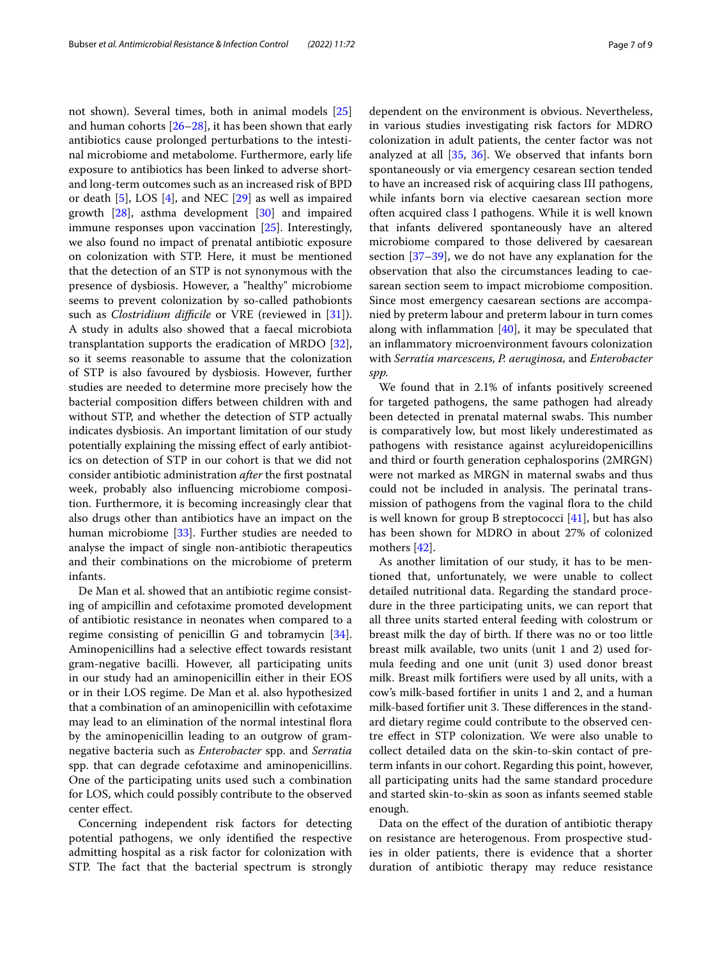not shown). Several times, both in animal models [[25](#page-8-13)] and human cohorts [\[26](#page-8-14)[–28](#page-8-15)], it has been shown that early antibiotics cause prolonged perturbations to the intestinal microbiome and metabolome. Furthermore, early life exposure to antibiotics has been linked to adverse shortand long-term outcomes such as an increased risk of BPD or death [\[5\]](#page-7-4), LOS [\[4](#page-7-3)], and NEC [[29](#page-8-16)] as well as impaired growth [\[28\]](#page-8-15), asthma development [[30\]](#page-8-17) and impaired immune responses upon vaccination [\[25](#page-8-13)]. Interestingly, we also found no impact of prenatal antibiotic exposure on colonization with STP. Here, it must be mentioned that the detection of an STP is not synonymous with the presence of dysbiosis. However, a "healthy" microbiome seems to prevent colonization by so-called pathobionts such as *Clostridium difficile* or VRE (reviewed in [\[31\]](#page-8-18)). A study in adults also showed that a faecal microbiota transplantation supports the eradication of MRDO [\[32](#page-8-19)], so it seems reasonable to assume that the colonization of STP is also favoured by dysbiosis. However, further studies are needed to determine more precisely how the bacterial composition difers between children with and without STP, and whether the detection of STP actually indicates dysbiosis. An important limitation of our study potentially explaining the missing efect of early antibiotics on detection of STP in our cohort is that we did not consider antibiotic administration *after* the frst postnatal week, probably also infuencing microbiome composition. Furthermore, it is becoming increasingly clear that also drugs other than antibiotics have an impact on the human microbiome [\[33\]](#page-8-20). Further studies are needed to analyse the impact of single non-antibiotic therapeutics and their combinations on the microbiome of preterm infants.

De Man et al. showed that an antibiotic regime consisting of ampicillin and cefotaxime promoted development of antibiotic resistance in neonates when compared to a regime consisting of penicillin G and tobramycin [\[34](#page-8-21)]. Aminopenicillins had a selective efect towards resistant gram-negative bacilli. However, all participating units in our study had an aminopenicillin either in their EOS or in their LOS regime. De Man et al. also hypothesized that a combination of an aminopenicillin with cefotaxime may lead to an elimination of the normal intestinal fora by the aminopenicillin leading to an outgrow of gramnegative bacteria such as *Enterobacter* spp. and *Serratia* spp. that can degrade cefotaxime and aminopenicillins. One of the participating units used such a combination for LOS, which could possibly contribute to the observed center efect.

Concerning independent risk factors for detecting potential pathogens, we only identifed the respective admitting hospital as a risk factor for colonization with STP. The fact that the bacterial spectrum is strongly dependent on the environment is obvious. Nevertheless, in various studies investigating risk factors for MDRO colonization in adult patients, the center factor was not analyzed at all [[35,](#page-8-22) [36\]](#page-8-23). We observed that infants born spontaneously or via emergency cesarean section tended to have an increased risk of acquiring class III pathogens, while infants born via elective caesarean section more often acquired class I pathogens. While it is well known that infants delivered spontaneously have an altered microbiome compared to those delivered by caesarean section [[37](#page-8-24)[–39](#page-8-25)], we do not have any explanation for the observation that also the circumstances leading to caesarean section seem to impact microbiome composition. Since most emergency caesarean sections are accompanied by preterm labour and preterm labour in turn comes along with infammation [[40\]](#page-8-26), it may be speculated that an infammatory microenvironment favours colonization with *Serratia marcescens, P. aeruginosa,* and *Enterobacter spp.*

We found that in 2.1% of infants positively screened for targeted pathogens, the same pathogen had already been detected in prenatal maternal swabs. This number is comparatively low, but most likely underestimated as pathogens with resistance against acylureidopenicillins and third or fourth generation cephalosporins (2MRGN) were not marked as MRGN in maternal swabs and thus could not be included in analysis. The perinatal transmission of pathogens from the vaginal flora to the child is well known for group B streptococci [\[41\]](#page-8-27), but has also has been shown for MDRO in about 27% of colonized mothers [\[42](#page-8-28)].

As another limitation of our study, it has to be mentioned that, unfortunately, we were unable to collect detailed nutritional data. Regarding the standard procedure in the three participating units, we can report that all three units started enteral feeding with colostrum or breast milk the day of birth. If there was no or too little breast milk available, two units (unit 1 and 2) used formula feeding and one unit (unit 3) used donor breast milk. Breast milk fortifers were used by all units, with a cow's milk-based fortifer in units 1 and 2, and a human milk-based fortifier unit 3. These differences in the standard dietary regime could contribute to the observed centre efect in STP colonization. We were also unable to collect detailed data on the skin-to-skin contact of preterm infants in our cohort. Regarding this point, however, all participating units had the same standard procedure and started skin-to-skin as soon as infants seemed stable enough.

Data on the efect of the duration of antibiotic therapy on resistance are heterogenous. From prospective studies in older patients, there is evidence that a shorter duration of antibiotic therapy may reduce resistance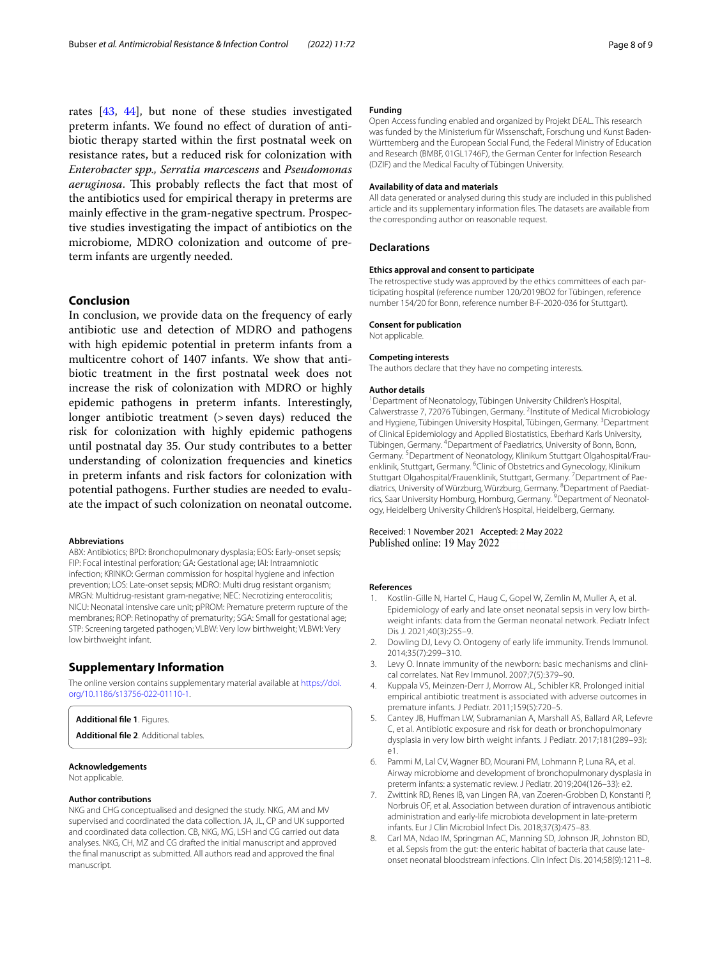rates [[43,](#page-8-29) [44](#page-8-30)], but none of these studies investigated preterm infants. We found no efect of duration of antibiotic therapy started within the frst postnatal week on resistance rates, but a reduced risk for colonization with *Enterobacter spp., Serratia marcescens* and *Pseudomonas aeruginosa*. This probably reflects the fact that most of the antibiotics used for empirical therapy in preterms are mainly efective in the gram-negative spectrum. Prospective studies investigating the impact of antibiotics on the microbiome, MDRO colonization and outcome of preterm infants are urgently needed.

## **Conclusion**

In conclusion, we provide data on the frequency of early antibiotic use and detection of MDRO and pathogens with high epidemic potential in preterm infants from a multicentre cohort of 1407 infants. We show that antibiotic treatment in the frst postnatal week does not increase the risk of colonization with MDRO or highly epidemic pathogens in preterm infants. Interestingly, longer antibiotic treatment (>seven days) reduced the risk for colonization with highly epidemic pathogens until postnatal day 35. Our study contributes to a better understanding of colonization frequencies and kinetics in preterm infants and risk factors for colonization with potential pathogens. Further studies are needed to evaluate the impact of such colonization on neonatal outcome.

#### **Abbreviations**

ABX: Antibiotics; BPD: Bronchopulmonary dysplasia; EOS: Early-onset sepsis; FIP: Focal intestinal perforation; GA: Gestational age; IAI: Intraamniotic infection; KRINKO: German commission for hospital hygiene and infection prevention; LOS: Late-onset sepsis; MDRO: Multi drug resistant organism; MRGN: Multidrug-resistant gram-negative; NEC: Necrotizing enterocolitis; NICU: Neonatal intensive care unit; pPROM: Premature preterm rupture of the membranes; ROP: Retinopathy of prematurity; SGA: Small for gestational age; STP: Screening targeted pathogen; VLBW: Very low birthweight; VLBWI: Very low birthweight infant.

## **Supplementary Information**

The online version contains supplementary material available at [https://doi.](https://doi.org/10.1186/s13756-022-01110-1) [org/10.1186/s13756-022-01110-1](https://doi.org/10.1186/s13756-022-01110-1).

#### <span id="page-7-9"></span><span id="page-7-8"></span>**Additional fle 1**. Figures.

**Additional fle 2**. Additional tables.

### **Acknowledgements**

Not applicable.

#### **Author contributions**

NKG and CHG conceptualised and designed the study. NKG, AM and MV supervised and coordinated the data collection. JA, JL, CP and UK supported and coordinated data collection. CB, NKG, MG, LSH and CG carried out data analyses. NKG, CH, MZ and CG drafted the initial manuscript and approved the fnal manuscript as submitted. All authors read and approved the fnal manuscript.

#### **Funding**

Open Access funding enabled and organized by Projekt DEAL. This research was funded by the Ministerium für Wissenschaft, Forschung und Kunst Baden-Württemberg and the European Social Fund, the Federal Ministry of Education and Research (BMBF, 01GL1746F), the German Center for Infection Research (DZIF) and the Medical Faculty of Tübingen University.

#### **Availability of data and materials**

All data generated or analysed during this study are included in this published article and its supplementary information fles. The datasets are available from the corresponding author on reasonable request.

#### **Declarations**

#### **Ethics approval and consent to participate**

The retrospective study was approved by the ethics committees of each participating hospital (reference number 120/2019BO2 for Tübingen, reference number 154/20 for Bonn, reference number B-F-2020-036 for Stuttgart).

#### **Consent for publication**

Not applicable.

## **Competing interests**

The authors declare that they have no competing interests.

#### **Author details**

<sup>1</sup> Department of Neonatology, Tübingen University Children's Hospital, Calwerstrasse 7, 72076 Tübingen, Germany. <sup>2</sup>Institute of Medical Microbiology and Hygiene, Tübingen University Hospital, Tübingen, Germany. <sup>3</sup>Department of Clinical Epidemiology and Applied Biostatistics, Eberhard Karls University, Tübingen, Germany. <sup>4</sup> Department of Paediatrics, University of Bonn, Bonn, Germany.<sup>5</sup> Department of Neonatology, Klinikum Stuttgart Olgahospital/Frauenklinik, Stuttgart, Germany. <sup>6</sup>Clinic of Obstetrics and Gynecology, Klinikum Stuttgart Olgahospital/Frauenklinik, Stuttgart, Germany. <sup>7</sup> Department of Paediatrics, University of Würzburg, Würzburg, Germany. <sup>8</sup> Department of Paediatrics, Saar University Homburg, Homburg, Germany. <sup>9</sup> Department of Neonatology, Heidelberg University Children's Hospital, Heidelberg, Germany.

#### Received: 1 November 2021 Accepted: 2 May 2022 Published online: 19 May 2022

#### **References**

- <span id="page-7-0"></span>Kostlin-Gille N, Hartel C, Haug C, Gopel W, Zemlin M, Muller A, et al. Epidemiology of early and late onset neonatal sepsis in very low birthweight infants: data from the German neonatal network. Pediatr Infect Dis J. 2021;40(3):255–9.
- <span id="page-7-1"></span>2. Dowling DJ, Levy O. Ontogeny of early life immunity. Trends Immunol. 2014;35(7):299–310.
- <span id="page-7-2"></span>3. Levy O. Innate immunity of the newborn: basic mechanisms and clinical correlates. Nat Rev Immunol. 2007;7(5):379–90.
- <span id="page-7-3"></span>4. Kuppala VS, Meinzen-Derr J, Morrow AL, Schibler KR. Prolonged initial empirical antibiotic treatment is associated with adverse outcomes in premature infants. J Pediatr. 2011;159(5):720–5.
- <span id="page-7-4"></span>5. Cantey JB, Hufman LW, Subramanian A, Marshall AS, Ballard AR, Lefevre C, et al. Antibiotic exposure and risk for death or bronchopulmonary dysplasia in very low birth weight infants. J Pediatr. 2017;181(289–93): e1.
- <span id="page-7-5"></span>6. Pammi M, Lal CV, Wagner BD, Mourani PM, Lohmann P, Luna RA, et al. Airway microbiome and development of bronchopulmonary dysplasia in preterm infants: a systematic review. J Pediatr. 2019;204(126–33): e2.
- <span id="page-7-6"></span>7. Zwittink RD, Renes IB, van Lingen RA, van Zoeren-Grobben D, Konstanti P, Norbruis OF, et al. Association between duration of intravenous antibiotic administration and early-life microbiota development in late-preterm infants. Eur J Clin Microbiol Infect Dis. 2018;37(3):475–83.
- <span id="page-7-7"></span>8. Carl MA, Ndao IM, Springman AC, Manning SD, Johnson JR, Johnston BD, et al. Sepsis from the gut: the enteric habitat of bacteria that cause lateonset neonatal bloodstream infections. Clin Infect Dis. 2014;58(9):1211–8.